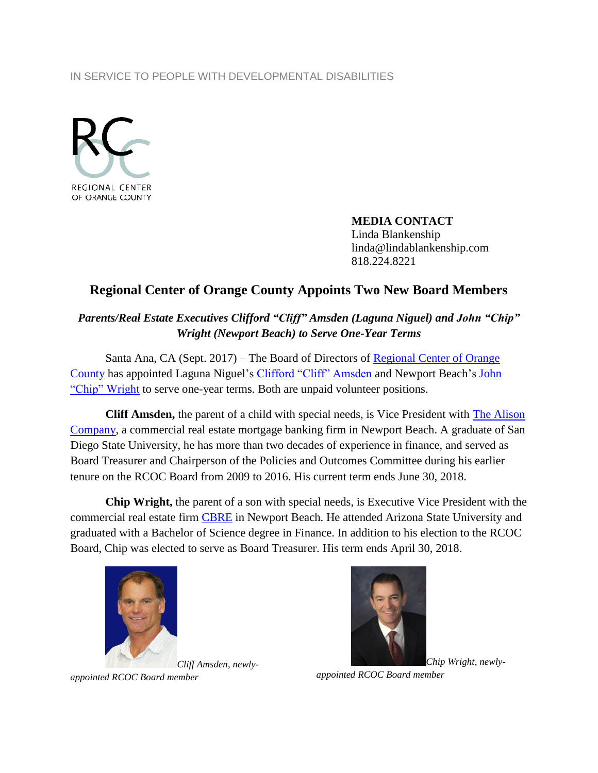## IN SERVICE TO PEOPLE WITH DEVELOPMENTAL DISABILITIES



**MEDIA CONTACT** Linda Blankenship linda@lindablankenship.com 818.224.8221

## **Regional Center of Orange County Appoints Two New Board Members**

*Parents/Real Estate Executives Clifford "Cliff" Amsden (Laguna Niguel) and John "Chip" Wright (Newport Beach) to Serve One-Year Terms*

Santa Ana, CA (Sept. 2017) – The Board of Directors of Regional Center of Orange [County](http://www.rcocdd.com/) has appointed Laguna Niguel's [Clifford "Cliff" Amsden](https://www.linkedin.com/in/clifford-amsden-b0280712/) and Newport Beach's John ["Chip" Wright](https://www.linkedin.com/in/chip-wright-92a65a9/) to serve one-year terms. Both are unpaid volunteer positions.

**Cliff Amsden,** the parent of a child with special needs, is Vice President with [The Alison](http://www.alisonmortgage.com/)  [Company,](http://www.alisonmortgage.com/) a commercial real estate mortgage banking firm in Newport Beach. A graduate of San Diego State University, he has more than two decades of experience in finance, and served as Board Treasurer and Chairperson of the Policies and Outcomes Committee during his earlier tenure on the RCOC Board from 2009 to 2016. His current term ends June 30, 2018.

**Chip Wright,** the parent of a son with special needs, is Executive Vice President with the commercial real estate firm [CBRE](https://www.cbre.com/) in Newport Beach. He attended Arizona State University and graduated with a Bachelor of Science degree in Finance. In addition to his election to the RCOC Board, Chip was elected to serve as Board Treasurer. His term ends April 30, 2018.





*appointed RCOC Board member*

*appointed RCOC Board member*